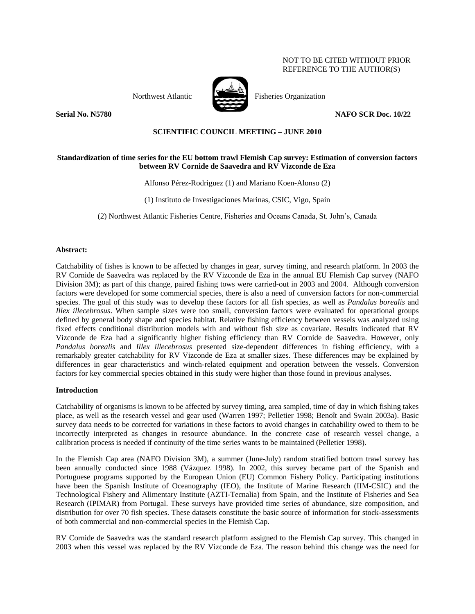# NOT TO BE CITED WITHOUT PRIOR REFERENCE TO THE AUTHOR(S)





Northwest Atlantic Fisheries Organization

**Serial No. N5780 NAFO SCR Doc. 10/22**

# **SCIENTIFIC COUNCIL MEETING – JUNE 2010**

# **Standardization of time series for the EU bottom trawl Flemish Cap survey: Estimation of conversion factors between RV Cornide de Saavedra and RV Vizconde de Eza**

### Alfonso Pérez-Rodriguez (1) and Mariano Koen-Alonso (2)

(1) Instituto de Investigaciones Marinas, CSIC, Vigo, Spain

(2) Northwest Atlantic Fisheries Centre, Fisheries and Oceans Canada, St. John's, Canada

### **Abstract:**

Catchability of fishes is known to be affected by changes in gear, survey timing, and research platform. In 2003 the RV Cornide de Saavedra was replaced by the RV Vizconde de Eza in the annual EU Flemish Cap survey (NAFO Division 3M); as part of this change, paired fishing tows were carried-out in 2003 and 2004. Although conversion factors were developed for some commercial species, there is also a need of conversion factors for non-commercial species. The goal of this study was to develop these factors for all fish species, as well as *Pandalus borealis* and *Illex illecebrosus*. When sample sizes were too small, conversion factors were evaluated for operational groups defined by general body shape and species habitat. Relative fishing efficiency between vessels was analyzed using fixed effects conditional distribution models with and without fish size as covariate. Results indicated that RV Vizconde de Eza had a significantly higher fishing efficiency than RV Cornide de Saavedra. However, only *Pandalus borealis* and *Illex illecebrosus* presented size-dependent differences in fishing efficiency, with a remarkably greater catchability for RV Vizconde de Eza at smaller sizes. These differences may be explained by differences in gear characteristics and winch-related equipment and operation between the vessels. Conversion factors for key commercial species obtained in this study were higher than those found in previous analyses.

### **Introduction**

Catchability of organisms is known to be affected by survey timing, area sampled, time of day in which fishing takes place, as well as the research vessel and gear used (Warren 1997; Pelletier 1998; Benoît and Swain 2003a). Basic survey data needs to be corrected for variations in these factors to avoid changes in catchability owed to them to be incorrectly interpreted as changes in resource abundance. In the concrete case of research vessel change, a calibration process is needed if continuity of the time series wants to be maintained (Pelletier 1998).

In the Flemish Cap area (NAFO Division 3M), a summer (June-July) random stratified bottom trawl survey has been annually conducted since 1988 (Vázquez 1998). In 2002, this survey became part of the Spanish and Portuguese programs supported by the European Union (EU) Common Fishery Policy. Participating institutions have been the Spanish Institute of Oceanography (IEO), the Institute of Marine Research (IIM-CSIC) and the Technological Fishery and Alimentary Institute (AZTI-Tecnalia) from Spain, and the Institute of Fisheries and Sea Research (IPIMAR) from Portugal. These surveys have provided time series of abundance, size composition, and distribution for over 70 fish species. These datasets constitute the basic source of information for stock-assessments of both commercial and non-commercial species in the Flemish Cap.

RV Cornide de Saavedra was the standard research platform assigned to the Flemish Cap survey. This changed in 2003 when this vessel was replaced by the RV Vizconde de Eza. The reason behind this change was the need for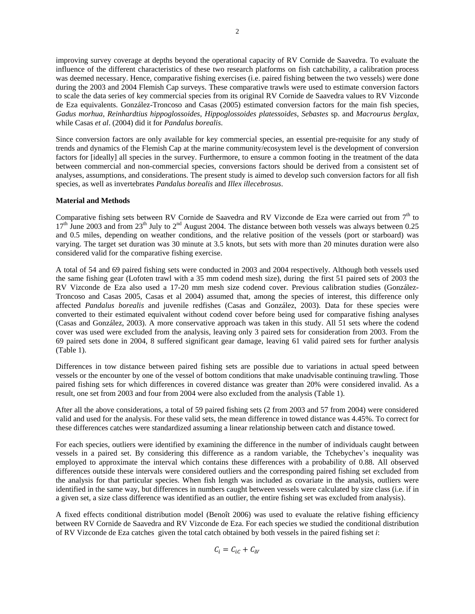improving survey coverage at depths beyond the operational capacity of RV Cornide de Saavedra. To evaluate the influence of the different characteristics of these two research platforms on fish catchability, a calibration process was deemed necessary. Hence, comparative fishing exercises (i.e. paired fishing between the two vessels) were done during the 2003 and 2004 Flemish Cap surveys. These comparative trawls were used to estimate conversion factors to scale the data series of key commercial species from its original RV Cornide de Saavedra values to RV Vizconde de Eza equivalents. González-Troncoso and Casas (2005) estimated conversion factors for the main fish species, *Gadus morhua*, *Reinhardtius hippoglossoides*, *Hippoglossoides platessoides*, *Sebastes* sp. and *Macrourus berglax*, while Casas *et al*. (2004) did it for *Pandalus borealis*.

Since conversion factors are only available for key commercial species, an essential pre-requisite for any study of trends and dynamics of the Flemish Cap at the marine community/ecosystem level is the development of conversion factors for [ideally] all species in the survey. Furthermore, to ensure a common footing in the treatment of the data between commercial and non-commercial species, conversions factors should be derived from a consistent set of analyses, assumptions, and considerations. The present study is aimed to develop such conversion factors for all fish species, as well as invertebrates *Pandalus borealis* and *Illex illecebrosus*.

### **Material and Methods**

Comparative fishing sets between RV Cornide de Saavedra and RV Vizconde de Eza were carried out from  $7<sup>th</sup>$  to 17<sup>th</sup> June 2003 and from 23<sup>th</sup> July to 2<sup>nd</sup> August 2004. The distance between both vessels was always between 0.25 and 0.5 miles, depending on weather conditions, and the relative position of the vessels (port or starboard) was varying. The target set duration was 30 minute at 3.5 knots, but sets with more than 20 minutes duration were also considered valid for the comparative fishing exercise.

A total of 54 and 69 paired fishing sets were conducted in 2003 and 2004 respectively. Although both vessels used the same fishing gear (Lofoten trawl with a 35 mm codend mesh size), during the first 51 paired sets of 2003 the RV Vizconde de Eza also used a 17-20 mm mesh size codend cover. Previous calibration studies (González-Troncoso and Casas 2005, Casas et al 2004) assumed that, among the species of interest, this difference only affected *Pandalus borealis* and juvenile redfishes (Casas and González, 2003). Data for these species were converted to their estimated equivalent without codend cover before being used for comparative fishing analyses (Casas and González, 2003). A more conservative approach was taken in this study. All 51 sets where the codend cover was used were excluded from the analysis, leaving only 3 paired sets for consideration from 2003. From the 69 paired sets done in 2004, 8 suffered significant gear damage, leaving 61 valid paired sets for further analysis (Table 1).

Differences in tow distance between paired fishing sets are possible due to variations in actual speed between vessels or the encounter by one of the vessel of bottom conditions that make unadvisable continuing trawling. Those paired fishing sets for which differences in covered distance was greater than 20% were considered invalid. As a result, one set from 2003 and four from 2004 were also excluded from the analysis (Table 1).

After all the above considerations, a total of 59 paired fishing sets (2 from 2003 and 57 from 2004) were considered valid and used for the analysis. For these valid sets, the mean difference in towed distance was 4.45%. To correct for these differences catches were standardized assuming a linear relationship between catch and distance towed.

For each species, outliers were identified by examining the difference in the number of individuals caught between vessels in a paired set. By considering this difference as a random variable, the Tchebychev's inequality was employed to approximate the interval which contains these differences with a probability of 0.88. All observed differences outside these intervals were considered outliers and the corresponding paired fishing set excluded from the analysis for that particular species. When fish length was included as covariate in the analysis, outliers were identified in the same way, but differences in numbers caught between vessels were calculated by size class (i.e. if in a given set, a size class difference was identified as an outlier, the entire fishing set was excluded from analysis).

A fixed effects conditional distribution model (Benoît 2006) was used to evaluate the relative fishing efficiency between RV Cornide de Saavedra and RV Vizconde de Eza. For each species we studied the conditional distribution of RV Vizconde de Eza catches given the total catch obtained by both vessels in the paired fishing set *i*:

 $C_i = C_{ic} + C_{iv}$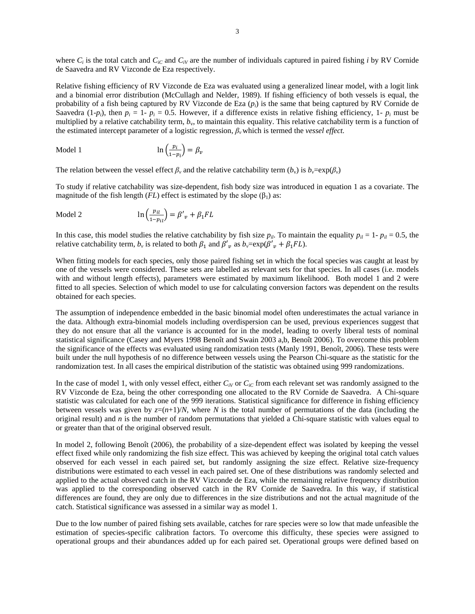where  $C_i$  is the total catch and  $C_i$  and  $C_i$  are the number of individuals captured in paired fishing *i* by RV Cornide de Saavedra and RV Vizconde de Eza respectively.

Relative fishing efficiency of RV Vizconde de Eza was evaluated using a generalized linear model, with a logit link and a binomial error distribution (McCullagh and Nelder, 1989). If fishing efficiency of both vessels is equal, the probability of a fish being captured by RV Vizconde de Eza (*pi*) is the same that being captured by RV Cornide de Saavedra (1-*p<sub>i</sub>*), then  $p_i = 1 - p_i = 0.5$ . However, if a difference exists in relative fishing efficiency, 1-  $p_i$  must be multiplied by a relative catchability term,  $b<sub>y</sub>$ , to maintain this equality. This relative catchability term is a function of the estimated intercept parameter of a logistic regression, *β<sup>v</sup>* which is termed the *vessel effect.*

$$
\text{Model 1} \qquad \qquad \ln\left(\frac{p_i}{1 - p_i}\right) = \beta_v
$$

The relation between the vessel effect  $\beta$ <sup>*v*</sup> and the relative catchability term  $(b_v)$  is  $b_v = \exp(\beta_v)$ 

To study if relative catchability was size-dependent, fish body size was introduced in equation 1 as a covariate. The magnitude of the fish length ( $FL$ ) effect is estimated by the slope ( $\beta_1$ ) as:

$$
\text{Model 2} \qquad \qquad \ln\left(\frac{p_{il}}{1 - p_{il}}\right) = \beta'_{\nu} + \beta_1 FL
$$

In this case, this model studies the relative catchability by fish size  $p_{il}$ . To maintain the equality  $p_{il} = 1 - p_{il} = 0.5$ , the relative catchability term,  $b_v$  is related to both  $\beta_1$  and  $\beta'_v$  as  $b_v = \exp(\beta'_v + \beta_1 FL)$ .

When fitting models for each species, only those paired fishing set in which the focal species was caught at least by one of the vessels were considered. These sets are labelled as relevant sets for that species. In all cases (i.e. models with and without length effects), parameters were estimated by maximum likelihood. Both model 1 and 2 were fitted to all species. Selection of which model to use for calculating conversion factors was dependent on the results obtained for each species.

The assumption of independence embedded in the basic binomial model often underestimates the actual variance in the data. Although extra-binomial models including overdispersion can be used, previous experiences suggest that they do not ensure that all the variance is accounted for in the model, leading to overly liberal tests of nominal statistical significance (Casey and Myers 1998 Benoît and Swain 2003 a,b, Benoît 2006). To overcome this problem the significance of the effects was evaluated using randomization tests (Manly 1991, Benoît, 2006). These tests were built under the null hypothesis of no difference between vessels using the Pearson Chi-square as the statistic for the randomization test. In all cases the empirical distribution of the statistic was obtained using 999 randomizations.

In the case of model 1, with only vessel effect, either  $C_{iV}$  or  $C_{iC}$  from each relevant set was randomly assigned to the RV Vizconde de Eza, being the other corresponding one allocated to the RV Cornide de Saavedra. A Chi-square statistic was calculated for each one of the 999 iterations. Statistical significance for difference in fishing efficiency between vessels was given by  $z=(n+1)/N$ , where N is the total number of permutations of the data (including the original result) and *n* is the number of random permutations that yielded a Chi-square statistic with values equal to or greater than that of the original observed result.

In model 2, following Benoît (2006), the probability of a size-dependent effect was isolated by keeping the vessel effect fixed while only randomizing the fish size effect. This was achieved by keeping the original total catch values observed for each vessel in each paired set, but randomly assigning the size effect. Relative size-frequency distributions were estimated to each vessel in each paired set. One of these distributions was randomly selected and applied to the actual observed catch in the RV Vizconde de Eza, while the remaining relative frequency distribution was applied to the corresponding observed catch in the RV Cornide de Saavedra. In this way, if statistical differences are found, they are only due to differences in the size distributions and not the actual magnitude of the catch. Statistical significance was assessed in a similar way as model 1.

Due to the low number of paired fishing sets available, catches for rare species were so low that made unfeasible the estimation of species-specific calibration factors. To overcome this difficulty, these species were assigned to operational groups and their abundances added up for each paired set. Operational groups were defined based on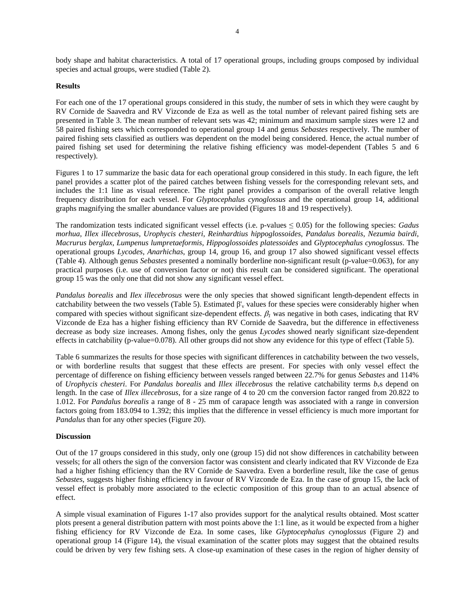body shape and habitat characteristics. A total of 17 operational groups, including groups composed by individual species and actual groups, were studied (Table 2).

#### **Results**

For each one of the 17 operational groups considered in this study, the number of sets in which they were caught by RV Cornide de Saavedra and RV Vizconde de Eza as well as the total number of relevant paired fishing sets are presented in Table 3. The mean number of relevant sets was 42; minimum and maximum sample sizes were 12 and 58 paired fishing sets which corresponded to operational group 14 and genus *Sebastes* respectively. The number of paired fishing sets classified as outliers was dependent on the model being considered. Hence, the actual number of paired fishing set used for determining the relative fishing efficiency was model-dependent (Tables 5 and 6 respectively).

Figures 1 to 17 summarize the basic data for each operational group considered in this study. In each figure, the left panel provides a scatter plot of the paired catches between fishing vessels for the corresponding relevant sets, and includes the 1:1 line as visual reference. The right panel provides a comparison of the overall relative length frequency distribution for each vessel. For *Glyptocephalus cynoglossus* and the operational group 14, additional graphs magnifying the smaller abundance values are provided (Figures 18 and 19 respectively).

The randomization tests indicated significant vessel effects (i.e. p-values ≤ 0.05) for the following species: *Gadus morhua*, *Illex illecebrosus*, *Urophycis chesteri*, *Reinhardtius hippoglossoides*, *Pandalus borealis*, *Nezumia bairdi*, *Macrurus berglax*, *Lumpenus lumpretaeformis*, *Hippoglossoides platessoides* and *Glyptocephalus cynoglossus*. The operational groups *Lycodes*, *Anarhichas*, group 14, group 16, and group 17 also showed significant vessel effects (Table 4). Although genus *Sebastes* presented a nominally borderline non-significant result (p-value=0.063), for any practical purposes (i.e. use of conversion factor or not) this result can be considered significant. The operational group 15 was the only one that did not show any significant vessel effect.

*Pandalus borealis* and *Ilex illecebrosus* were the only species that showed significant length-dependent effects in catchability between the two vessels (Table 5). Estimated  $\beta'$  values for these species were considerably higher when compared with species without significant size-dependent effects.  $\beta_l$  was negative in both cases, indicating that RV Vizconde de Eza has a higher fishing efficiency than RV Cornide de Saavedra, but the difference in effectiveness decrease as body size increases. Among fishes, only the genus *Lycodes* showed nearly significant size-dependent effects in catchability (p-value=0.078). All other groups did not show any evidence for this type of effect (Table 5).

Table 6 summarizes the results for those species with significant differences in catchability between the two vessels, or with borderline results that suggest that these effects are present. For species with only vessel effect the percentage of difference on fishing efficiency between vessels ranged between 22.7% for genus *Sebastes* and 114% of *Urophycis chesteri*. For *Pandalus borealis* and *Illex illecebrosus* the relative catchability terms *bv*s depend on length. In the case of *Illex illecebrosus*, for a size range of 4 to 20 cm the conversion factor ranged from 20.822 to 1.012. For *Pandalus borealis* a range of 8 - 25 mm of carapace length was associated with a range in conversion factors going from 183.094 to 1.392; this implies that the difference in vessel efficiency is much more important for *Pandalus* than for any other species (Figure 20).

### **Discussion**

Out of the 17 groups considered in this study, only one (group 15) did not show differences in catchability between vessels; for all others the sign of the conversion factor was consistent and clearly indicated that RV Vizconde de Eza had a higher fishing efficiency than the RV Cornide de Saavedra. Even a borderline result, like the case of genus *Sebastes*, suggests higher fishing efficiency in favour of RV Vizconde de Eza. In the case of group 15, the lack of vessel effect is probably more associated to the eclectic composition of this group than to an actual absence of effect.

A simple visual examination of Figures 1-17 also provides support for the analytical results obtained. Most scatter plots present a general distribution pattern with most points above the 1:1 line, as it would be expected from a higher fishing efficiency for RV Vizconde de Eza. In some cases, like *Glyptocephalus cynoglossus* (Figure 2) and operational group 14 (Figure 14), the visual examination of the scatter plots may suggest that the obtained results could be driven by very few fishing sets. A close-up examination of these cases in the region of higher density of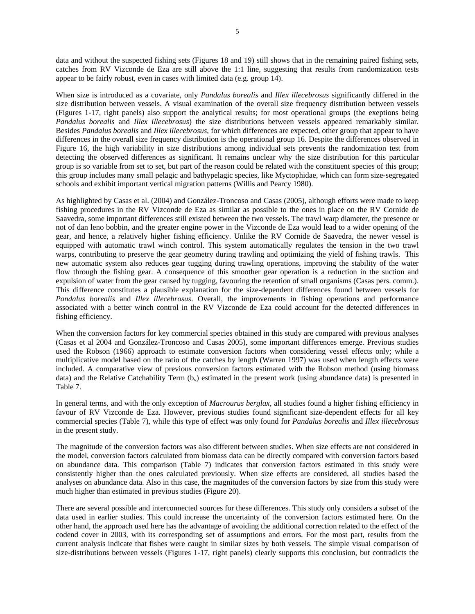data and without the suspected fishing sets (Figures 18 and 19) still shows that in the remaining paired fishing sets, catches from RV Vizconde de Eza are still above the 1:1 line, suggesting that results from randomization tests appear to be fairly robust, even in cases with limited data (e.g. group 14).

When size is introduced as a covariate, only *Pandalus borealis* and *Illex illecebrosus* significantly differed in the size distribution between vessels. A visual examination of the overall size frequency distribution between vessels (Figures 1-17, right panels) also support the analytical results; for most operational groups (the exeptions being *Pandalus borealis* and *Illex illecebrosus*) the size distributions between vessels appeared remarkably similar. Besides *Pandalus borealis* and *Illex illecebrosus*, for which differences are expected, other group that appear to have differences in the overall size frequency distribution is the operational group 16. Despite the differences observed in Figure 16, the high variability in size distributions among individual sets prevents the randomization test from detecting the observed differences as significant. It remains unclear why the size distribution for this particular group is so variable from set to set, but part of the reason could be related with the constituent species of this group; this group includes many small pelagic and bathypelagic species, like Myctophidae, which can form size-segregated schools and exhibit important vertical migration patterns (Willis and Pearcy 1980).

As highlighted by Casas et al. (2004) and González-Troncoso and Casas (2005), although efforts were made to keep fishing procedures in the RV Vizconde de Eza as similar as possible to the ones in place on the RV Cornide de Saavedra, some important differences still existed between the two vessels. The trawl warp diameter, the presence or not of dan leno bobbin, and the greater engine power in the Vizconde de Eza would lead to a wider opening of the gear, and hence, a relatively higher fishing efficiency. Unlike the RV Cornide de Saavedra, the newer vessel is equipped with automatic trawl winch control. This system automatically regulates the tension in the two trawl warps, contributing to preserve the gear geometry during trawling and optimizing the yield of fishing trawls. This new automatic system also reduces gear tugging during trawling operations, improving the stability of the water flow through the fishing gear. A consequence of this smoother gear operation is a reduction in the suction and expulsion of water from the gear caused by tugging, favouring the retention of small organisms (Casas pers. comm.). This difference constitutes a plausible explanation for the size-dependent differences found between vessels for *Pandalus borealis* and *Illex illecebrosus*. Overall, the improvements in fishing operations and performance associated with a better winch control in the RV Vizconde de Eza could account for the detected differences in fishing efficiency.

When the conversion factors for key commercial species obtained in this study are compared with previous analyses (Casas et al 2004 and González-Troncoso and Casas 2005), some important differences emerge. Previous studies used the Robson (1966) approach to estimate conversion factors when considering vessel effects only; while a multiplicative model based on the ratio of the catches by length (Warren 1997) was used when length effects were included. A comparative view of previous conversion factors estimated with the Robson method (using biomass data) and the Relative Catchability Term  $(b_v)$  estimated in the present work (using abundance data) is presented in Table 7.

In general terms, and with the only exception of *Macrourus berglax*, all studies found a higher fishing efficiency in favour of RV Vizconde de Eza. However, previous studies found significant size-dependent effects for all key commercial species (Table 7), while this type of effect was only found for *Pandalus borealis* and *Illex illecebrosus* in the present study.

The magnitude of the conversion factors was also different between studies. When size effects are not considered in the model, conversion factors calculated from biomass data can be directly compared with conversion factors based on abundance data. This comparison (Table 7) indicates that conversion factors estimated in this study were consistently higher than the ones calculated previously. When size effects are considered, all studies based the analyses on abundance data. Also in this case, the magnitudes of the conversion factors by size from this study were much higher than estimated in previous studies (Figure 20).

There are several possible and interconnected sources for these differences. This study only considers a subset of the data used in earlier studies. This could increase the uncertainty of the conversion factors estimated here. On the other hand, the approach used here has the advantage of avoiding the additional correction related to the effect of the codend cover in 2003, with its corresponding set of assumptions and errors. For the most part, results from the current analysis indicate that fishes were caught in similar sizes by both vessels. The simple visual comparison of size-distributions between vessels (Figures 1-17, right panels) clearly supports this conclusion, but contradicts the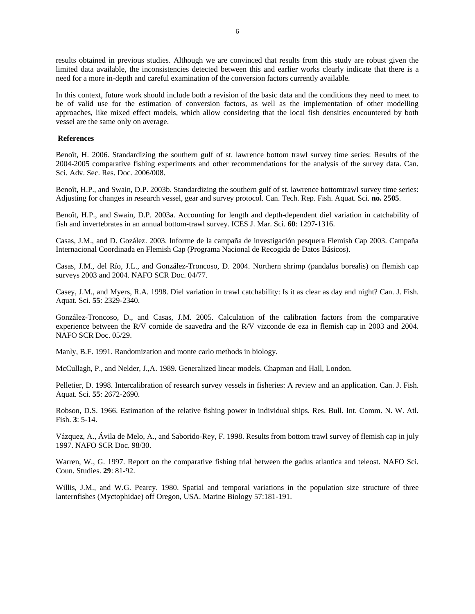results obtained in previous studies. Although we are convinced that results from this study are robust given the limited data available, the inconsistencies detected between this and earlier works clearly indicate that there is a need for a more in-depth and careful examination of the conversion factors currently available.

In this context, future work should include both a revision of the basic data and the conditions they need to meet to be of valid use for the estimation of conversion factors, as well as the implementation of other modelling approaches, like mixed effect models, which allow considering that the local fish densities encountered by both vessel are the same only on average.

#### **References**

Benoît, H. 2006. Standardizing the southern gulf of st. lawrence bottom trawl survey time series: Results of the 2004-2005 comparative fishing experiments and other recommendations for the analysis of the survey data. Can. Sci. Adv. Sec. Res. Doc. 2006/008.

Benoît, H.P., and Swain, D.P. 2003b. Standardizing the southern gulf of st. lawrence bottomtrawl survey time series: Adjusting for changes in research vessel, gear and survey protocol. Can. Tech. Rep. Fish. Aquat. Sci. **no. 2505**.

Benoît, H.P., and Swain, D.P. 2003a. Accounting for length and depth-dependent diel variation in catchability of fish and invertebrates in an annual bottom-trawl survey. ICES J. Mar. Sci. **60**: 1297-1316.

Casas, J.M., and D. Gozález. 2003. Informe de la campaña de investigación pesquera Flemish Cap 2003. Campaña Internacional Coordinada en Flemish Cap (Programa Nacional de Recogida de Datos Básicos).

Casas, J.M., del Río, J.L., and González-Troncoso, D. 2004. Northern shrimp (pandalus borealis) on flemish cap surveys 2003 and 2004. NAFO SCR Doc. 04/77.

Casey, J.M., and Myers, R.A. 1998. Diel variation in trawl catchability: Is it as clear as day and night? Can. J. Fish. Aquat. Sci. **55**: 2329-2340.

González-Troncoso, D., and Casas, J.M. 2005. Calculation of the calibration factors from the comparative experience between the R/V cornide de saavedra and the R/V vizconde de eza in flemish cap in 2003 and 2004. NAFO SCR Doc. 05/29.

Manly, B.F. 1991. Randomization and monte carlo methods in biology.

McCullagh, P., and Nelder, J.,A. 1989. Generalized linear models. Chapman and Hall, London.

Pelletier, D. 1998. Intercalibration of research survey vessels in fisheries: A review and an application. Can. J. Fish. Aquat. Sci. **55**: 2672-2690.

Robson, D.S. 1966. Estimation of the relative fishing power in individual ships. Res. Bull. Int. Comm. N. W. Atl. Fish. **3**: 5-14.

Vázquez, A., Ávila de Melo, A., and Saborido-Rey, F. 1998. Results from bottom trawl survey of flemish cap in july 1997. NAFO SCR Doc. 98/30.

Warren, W., G. 1997. Report on the comparative fishing trial between the gadus atlantica and teleost. NAFO Sci. Coun. Studies. **29**: 81-92.

Willis, J.M., and W.G. Pearcy. 1980. Spatial and temporal variations in the population size structure of three lanternfishes (Myctophidae) off Oregon, USA. Marine Biology 57:181-191.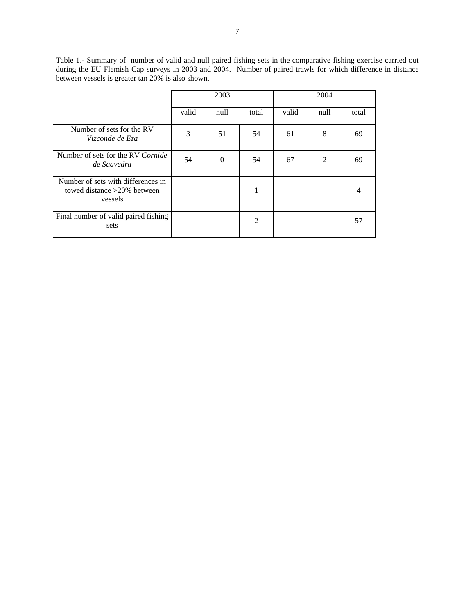Table 1.- Summary of number of valid and null paired fishing sets in the comparative fishing exercise carried out during the EU Flemish Cap surveys in 2003 and 2004. Number of paired trawls for which difference in distance between vessels is greater tan 20% is also shown.

|                                                                                 | 2003  |          |                | 2004  |      |                |
|---------------------------------------------------------------------------------|-------|----------|----------------|-------|------|----------------|
|                                                                                 | valid | null     | total          | valid | null | total          |
| Number of sets for the RV<br>Vizconde de Eza                                    | 3     | 51       | 54             | 61    | 8    | 69             |
| Number of sets for the RV Cornide<br>de Saavedra                                | 54    | $\Omega$ | 54             | 67    | 2    | 69             |
| Number of sets with differences in<br>towed distance $>20\%$ between<br>vessels |       |          | 1              |       |      | $\overline{4}$ |
| Final number of valid paired fishing<br>sets                                    |       |          | $\overline{2}$ |       |      | 57             |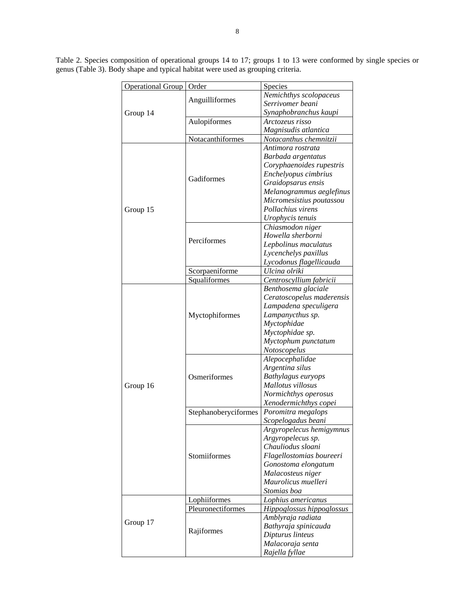Table 2. Species composition of operational groups 14 to 17; groups 1 to 13 were conformed by single species or genus (Table 3). Body shape and typical habitat were used as grouping criteria.

| Operational Group | Order                | Species                                       |
|-------------------|----------------------|-----------------------------------------------|
|                   |                      | Nemichthys scolopaceus                        |
|                   | Anguilliformes       | Serrivomer beani                              |
| Group 14          |                      | Synaphobranchus kaupi                         |
|                   | Aulopiformes         | Arctozeus risso                               |
|                   |                      | Magnisudis atlantica                          |
|                   | Notacanthiformes     | Notacanthus chemnitzii                        |
|                   |                      | Antimora rostrata                             |
|                   |                      | Barbada argentatus                            |
|                   |                      | Coryphaenoides rupestris                      |
|                   | Gadiformes           | Enchelyopus cimbrius                          |
|                   |                      | Graidopsarus ensis                            |
|                   |                      | Melanogrammus aeglefinus                      |
|                   |                      | Micromesistius poutassou                      |
| Group 15          |                      | Pollachius virens                             |
|                   |                      | Urophycis tenuis                              |
|                   |                      | Chiasmodon niger                              |
|                   | Perciformes          | Howella sherborni                             |
|                   |                      | Lepbolinus maculatus                          |
|                   |                      | Lycenchelys paxillus                          |
|                   |                      | Lycodonus flagellicauda                       |
|                   | Scorpaeniforme       | Ulcina olriki                                 |
|                   | Squaliformes         | Centroscyllium fabricii                       |
|                   |                      | Benthosema glaciale                           |
|                   |                      | Ceratoscopelus maderensis                     |
|                   | Myctophiformes       | Lampadena speculigera                         |
|                   |                      | Lampanycthus sp.                              |
|                   |                      | Myctophidae                                   |
|                   |                      | Myctophidae sp.                               |
|                   |                      | Myctophum punctatum                           |
|                   |                      | Notoscopelus                                  |
|                   |                      | Alepocephalidae                               |
|                   |                      | Argentina silus                               |
|                   | Osmeriformes         | Bathylagus euryops<br>Mallotus villosus       |
| Group 16          |                      | Normichthys operosus                          |
|                   |                      |                                               |
|                   |                      | Xenodermichthys copei                         |
|                   | Stephanoberyciformes | Poromitra megalops                            |
|                   |                      | Scopelogadus beani                            |
|                   |                      | Argyropelecus hemigymnus<br>Argyropelecus sp. |
|                   |                      | Chauliodus sloani                             |
|                   | Stomiiformes         | Flagellostomias boureeri                      |
|                   |                      | Gonostoma elongatum                           |
|                   |                      | Malacosteus niger                             |
|                   |                      | Maurolicus muelleri                           |
|                   |                      | Stomias boa                                   |
|                   | Lophiiformes         | Lophius americanus                            |
|                   | Pleuronectiformes    | Hippoglossus hippoglossus                     |
|                   |                      | Amblyraja radiata                             |
| Group 17          |                      | Bathyraja spinicauda                          |
|                   | Rajiformes           | Dipturus linteus                              |
|                   |                      | Malacoraja senta                              |
|                   |                      | Rajella fyllae                                |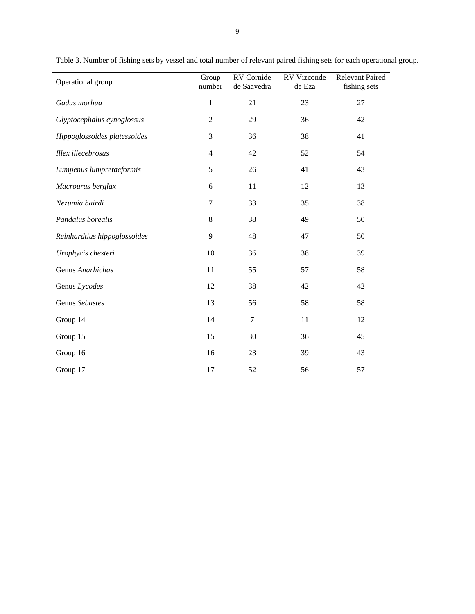| Operational group            | Group          | RV Cornide       | RV Vizconde | Relevant Paired |
|------------------------------|----------------|------------------|-------------|-----------------|
|                              | number         | de Saavedra      | de Eza      | fishing sets    |
| Gadus morhua                 | 1              | 21               | 23          | 27              |
| Glyptocephalus cynoglossus   | $\mathfrak{2}$ | 29               | 36          | 42              |
| Hippoglossoides platessoides | 3              | 36               | 38          | 41              |
| Illex illecebrosus           | $\overline{4}$ | 42               | 52          | 54              |
| Lumpenus lumpretaeformis     | 5              | 26               | 41          | 43              |
| Macrourus berglax            | 6              | 11               | 12          | 13              |
| Nezumia bairdi               | $\tau$         | 33               | 35          | 38              |
| Pandalus borealis            | $8\,$          | 38               | 49          | 50              |
| Reinhardtius hippoglossoides | 9              | 48               | 47          | 50              |
| Urophycis chesteri           | 10             | 36               | 38          | 39              |
| Genus Anarhichas             | 11             | 55               | 57          | 58              |
| Genus Lycodes                | 12             | 38               | 42          | 42              |
| Genus Sebastes               | 13             | 56               | 58          | 58              |
| Group 14                     | 14             | $\boldsymbol{7}$ | 11          | 12              |
| Group 15                     | 15             | 30               | 36          | 45              |
| Group 16                     | 16             | 23               | 39          | 43              |
| Group 17                     | 17             | 52               | 56          | 57              |

Table 3. Number of fishing sets by vessel and total number of relevant paired fishing sets for each operational group.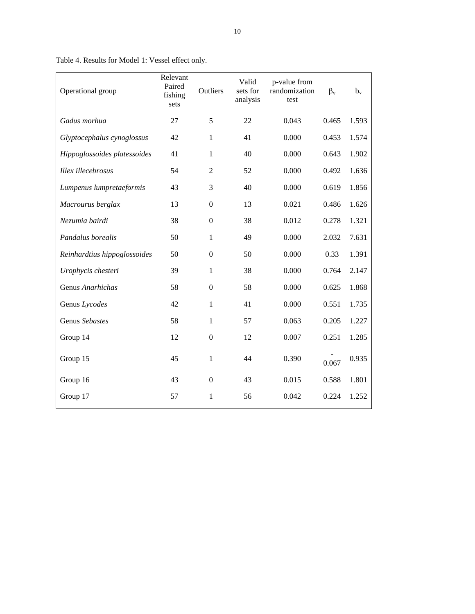| Operational group            | Relevant<br>Paired<br>fishing<br>sets | Outliers         | Valid<br>sets for<br>analysis | p-value from<br>randomization<br>test | $\beta_{v}$ | $b_v$ |
|------------------------------|---------------------------------------|------------------|-------------------------------|---------------------------------------|-------------|-------|
| Gadus morhua                 | 27                                    | 5                | 22                            | 0.043                                 | 0.465       | 1.593 |
| Glyptocephalus cynoglossus   | 42                                    | $\mathbf{1}$     | 41                            | 0.000                                 | 0.453       | 1.574 |
| Hippoglossoides platessoides | 41                                    | $\mathbf{1}$     | 40                            | 0.000                                 | 0.643       | 1.902 |
| Illex illecebrosus           | 54                                    | $\overline{2}$   | 52                            | 0.000                                 | 0.492       | 1.636 |
| Lumpenus lumpretaeformis     | 43                                    | 3                | 40                            | 0.000                                 | 0.619       | 1.856 |
| Macrourus berglax            | 13                                    | $\boldsymbol{0}$ | 13                            | 0.021                                 | 0.486       | 1.626 |
| Nezumia bairdi               | 38                                    | $\boldsymbol{0}$ | 38                            | 0.012                                 | 0.278       | 1.321 |
| Pandalus borealis            | 50                                    | 1                | 49                            | 0.000                                 | 2.032       | 7.631 |
| Reinhardtius hippoglossoides | 50                                    | $\Omega$         | 50                            | 0.000                                 | 0.33        | 1.391 |
| Urophycis chesteri           | 39                                    | $\mathbf{1}$     | 38                            | 0.000                                 | 0.764       | 2.147 |
| Genus Anarhichas             | 58                                    | $\boldsymbol{0}$ | 58                            | 0.000                                 | 0.625       | 1.868 |
| Genus Lycodes                | 42                                    | $\mathbf{1}$     | 41                            | 0.000                                 | 0.551       | 1.735 |
| Genus Sebastes               | 58                                    | $\mathbf{1}$     | 57                            | 0.063                                 | 0.205       | 1.227 |
| Group 14                     | 12                                    | $\boldsymbol{0}$ | 12                            | 0.007                                 | 0.251       | 1.285 |
| Group 15                     | 45                                    | 1                | 44                            | 0.390                                 | 0.067       | 0.935 |
| Group 16                     | 43                                    | $\mathbf{0}$     | 43                            | 0.015                                 | 0.588       | 1.801 |
| Group 17                     | 57                                    | 1                | 56                            | 0.042                                 | 0.224       | 1.252 |

Table 4. Results for Model 1: Vessel effect only.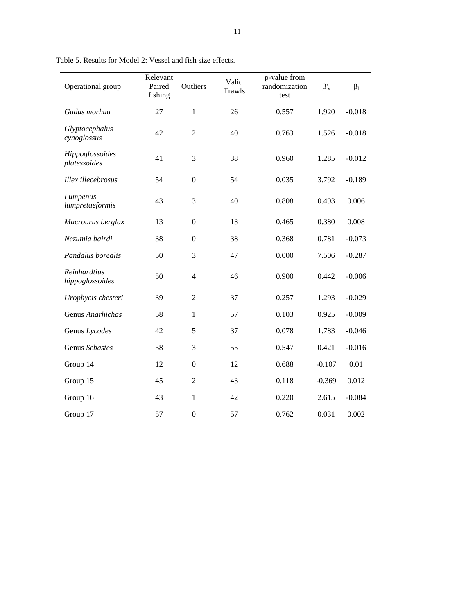| Operational group               | Relevant<br>Paired<br>fishing | Outliers         | Valid<br>Trawls | p-value from<br>randomization<br>test | $\beta_v$ | $\beta_1$ |
|---------------------------------|-------------------------------|------------------|-----------------|---------------------------------------|-----------|-----------|
| Gadus morhua                    | 27                            | $\mathbf{1}$     | 26              | 0.557                                 | 1.920     | $-0.018$  |
| Glyptocephalus<br>cynoglossus   | 42                            | $\overline{2}$   | 40              | 0.763                                 | 1.526     | $-0.018$  |
| Hippoglossoides<br>platessoides | 41                            | 3                | 38              | 0.960                                 | 1.285     | $-0.012$  |
| Illex illecebrosus              | 54                            | $\boldsymbol{0}$ | 54              | 0.035                                 | 3.792     | $-0.189$  |
| Lumpenus<br>lumpretaeformis     | 43                            | 3                | 40              | 0.808                                 | 0.493     | 0.006     |
| Macrourus berglax               | 13                            | $\boldsymbol{0}$ | 13              | 0.465                                 | 0.380     | 0.008     |
| Nezumia bairdi                  | 38                            | $\boldsymbol{0}$ | 38              | 0.368                                 | 0.781     | $-0.073$  |
| Pandalus borealis               | 50                            | 3                | 47              | 0.000                                 | 7.506     | $-0.287$  |
| Reinhardtius<br>hippoglossoides | 50                            | $\overline{4}$   | 46              | 0.900                                 | 0.442     | $-0.006$  |
| Urophycis chesteri              | 39                            | $\overline{2}$   | 37              | 0.257                                 | 1.293     | $-0.029$  |
| Genus Anarhichas                | 58                            | 1                | 57              | 0.103                                 | 0.925     | $-0.009$  |
| Genus Lycodes                   | 42                            | 5                | 37              | 0.078                                 | 1.783     | $-0.046$  |
| Genus Sebastes                  | 58                            | 3                | 55              | 0.547                                 | 0.421     | $-0.016$  |
| Group 14                        | 12                            | $\boldsymbol{0}$ | 12              | 0.688                                 | $-0.107$  | 0.01      |
| Group 15                        | 45                            | $\mathfrak{2}$   | 43              | 0.118                                 | $-0.369$  | 0.012     |
| Group 16                        | 43                            | $\mathbf{1}$     | 42              | 0.220                                 | 2.615     | $-0.084$  |
| Group 17                        | 57                            | $\boldsymbol{0}$ | 57              | 0.762                                 | 0.031     | 0.002     |

Table 5. Results for Model 2: Vessel and fish size effects.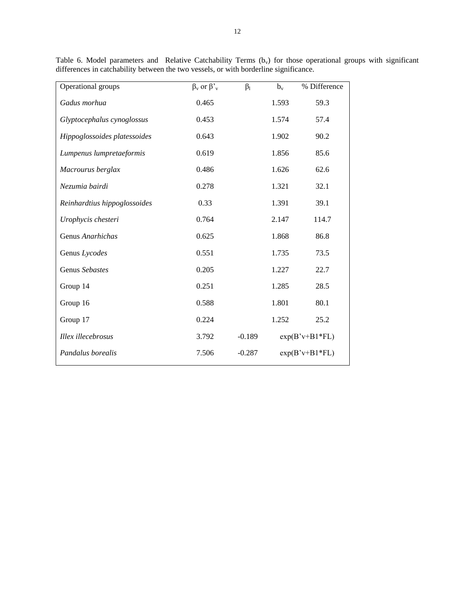| Operational groups           | $\beta_v$ or $\beta_v$ | $\beta_1$ | $b_v$            | % Difference |  |
|------------------------------|------------------------|-----------|------------------|--------------|--|
| Gadus morhua                 | 0.465                  |           | 1.593            | 59.3         |  |
| Glyptocephalus cynoglossus   | 0.453                  |           | 1.574            | 57.4         |  |
| Hippoglossoides platessoides | 0.643                  |           | 1.902            | 90.2         |  |
| Lumpenus lumpretaeformis     | 0.619                  |           | 1.856            | 85.6         |  |
| Macrourus berglax            | 0.486                  |           | 1.626            | 62.6         |  |
| Nezumia bairdi               | 0.278                  |           | 1.321            | 32.1         |  |
| Reinhardtius hippoglossoides | 0.33                   |           | 1.391            | 39.1         |  |
| Urophycis chesteri           | 0.764                  |           | 2.147            | 114.7        |  |
| Genus Anarhichas             | 0.625                  |           | 1.868            | 86.8         |  |
| Genus Lycodes                | 0.551                  |           | 1.735            | 73.5         |  |
| Genus Sebastes               | 0.205                  |           | 1.227            | 22.7         |  |
| Group 14                     | 0.251                  |           | 1.285            | 28.5         |  |
| Group 16                     | 0.588                  |           | 1.801            | 80.1         |  |
| Group 17                     | 0.224                  |           | 1.252            | 25.2         |  |
| Illex illecebrosus           | 3.792                  | $-0.189$  | $exp(B'v+B1*FL)$ |              |  |
| Pandalus borealis            | 7.506                  | $-0.287$  | $exp(B'v+B1*FL)$ |              |  |

Table 6. Model parameters and Relative Catchability Terms  $(b_v)$  for those operational groups with significant differences in catchability between the two vessels, or with borderline significance.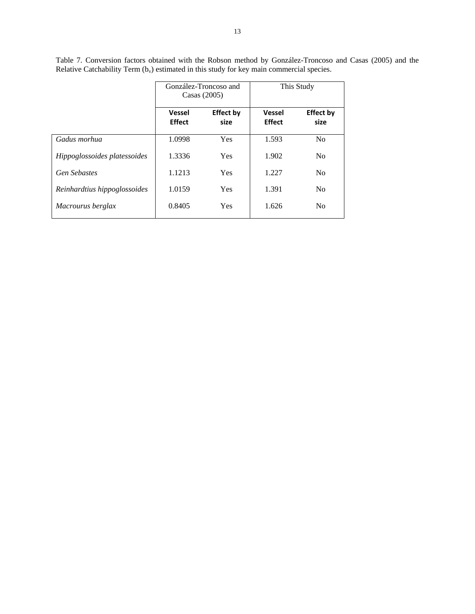|                              | González-Troncoso and<br>Casas $(2005)$ |                          | This Study                     |                          |
|------------------------------|-----------------------------------------|--------------------------|--------------------------------|--------------------------|
|                              | <b>Vessel</b><br><b>Effect</b>          | <b>Effect by</b><br>size | <b>Vessel</b><br><b>Effect</b> | <b>Effect by</b><br>size |
| Gadus morhua                 | 1.0998                                  | Yes                      | 1.593                          | No                       |
| Hippoglossoides platessoides | 1.3336                                  | Yes                      | 1.902                          | No                       |
| <b>Gen Sebastes</b>          | 1.1213                                  | Yes                      | 1.227                          | No                       |
| Reinhardtius hippoglossoides | 1.0159                                  | Yes                      | 1.391                          | N <sub>0</sub>           |
| Macrourus berglax            | 0.8405                                  | Yes                      | 1.626                          | No                       |

Table 7. Conversion factors obtained with the Robson method by González-Troncoso and Casas (2005) and the Relative Catchability Term  $(b_v)$  estimated in this study for key main commercial species.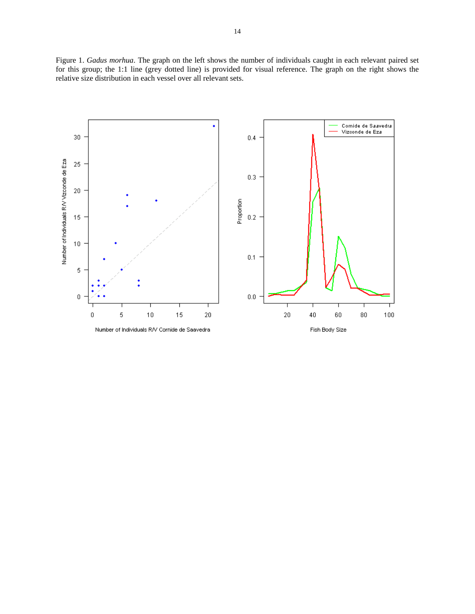Figure 1. *Gadus morhua*. The graph on the left shows the number of individuals caught in each relevant paired set for this group; the 1:1 line (grey dotted line) is provided for visual reference. The graph on the right shows the relative size distribution in each vessel over all relevant sets.

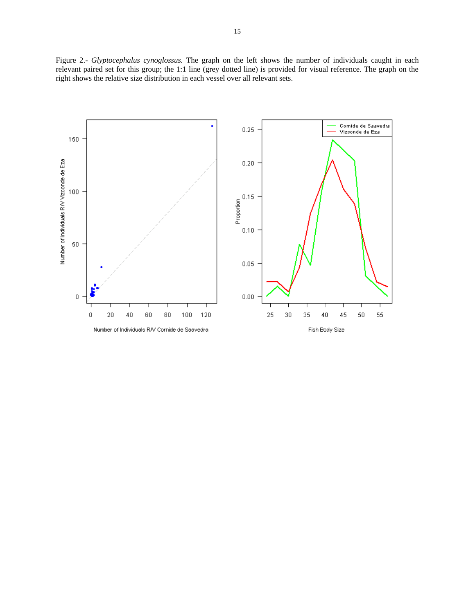Figure 2.- *Glyptocephalus cynoglossus.* The graph on the left shows the number of individuals caught in each relevant paired set for this group; the 1:1 line (grey dotted line) is provided for visual reference. The graph on the right shows the relative size distribution in each vessel over all relevant sets.

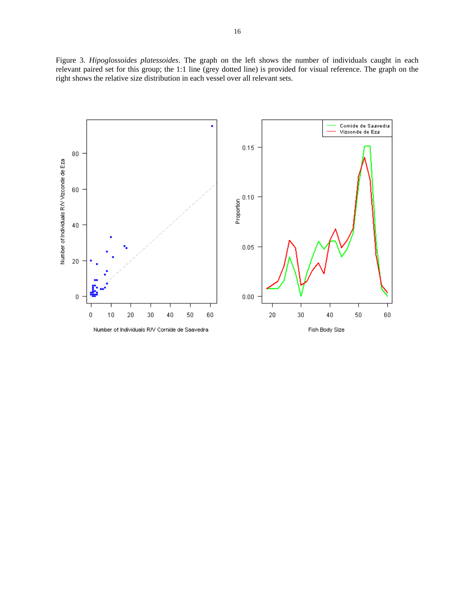Figure 3. *Hipoglossoides platessoides*. The graph on the left shows the number of individuals caught in each relevant paired set for this group; the 1:1 line (grey dotted line) is provided for visual reference. The graph on the right shows the relative size distribution in each vessel over all relevant sets.

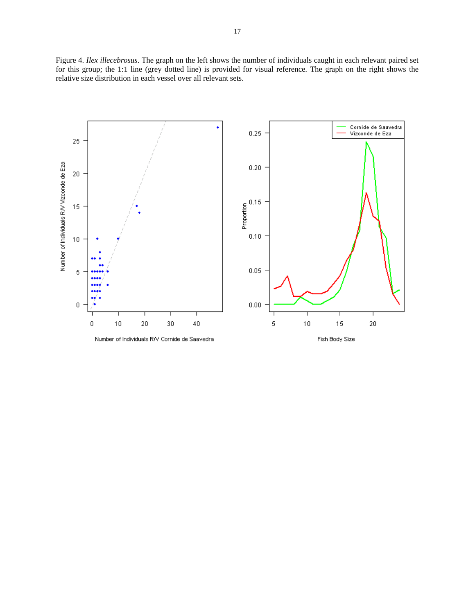Figure 4. *Ilex illecebrosus*. The graph on the left shows the number of individuals caught in each relevant paired set for this group; the 1:1 line (grey dotted line) is provided for visual reference. The graph on the right shows the relative size distribution in each vessel over all relevant sets.

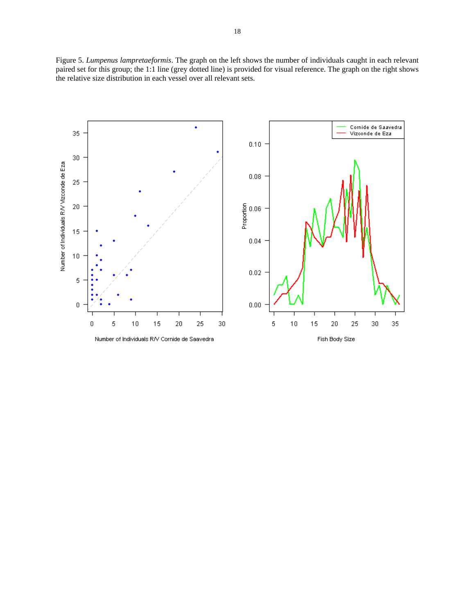Figure 5. *Lumpenus lampretaeformis*. The graph on the left shows the number of individuals caught in each relevant paired set for this group; the 1:1 line (grey dotted line) is provided for visual reference. The graph on the right shows the relative size distribution in each vessel over all relevant sets.

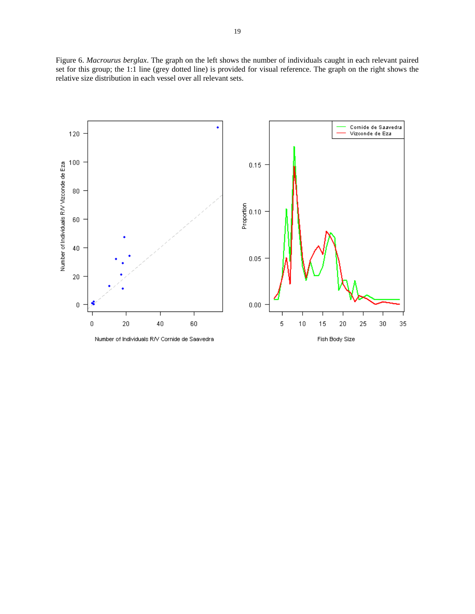Figure 6. *Macrourus berglax*. The graph on the left shows the number of individuals caught in each relevant paired set for this group; the 1:1 line (grey dotted line) is provided for visual reference. The graph on the right shows the relative size distribution in each vessel over all relevant sets.

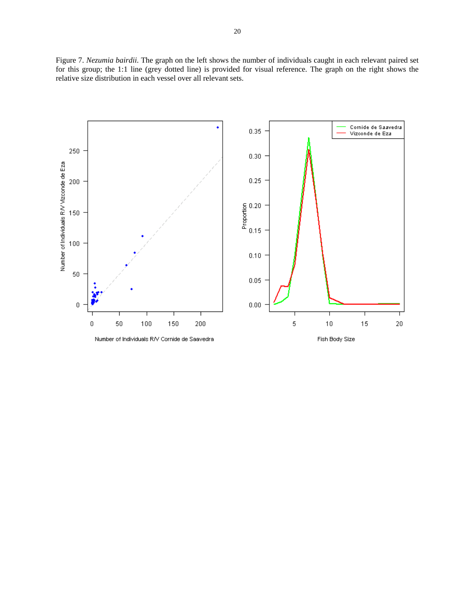Figure 7. *Nezumia bairdii*. The graph on the left shows the number of individuals caught in each relevant paired set for this group; the 1:1 line (grey dotted line) is provided for visual reference. The graph on the right shows the relative size distribution in each vessel over all relevant sets.

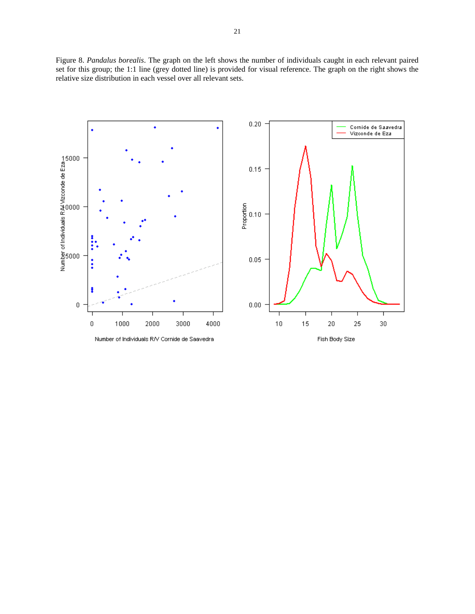Figure 8. *Pandalus borealis*. The graph on the left shows the number of individuals caught in each relevant paired set for this group; the 1:1 line (grey dotted line) is provided for visual reference. The graph on the right shows the relative size distribution in each vessel over all relevant sets.

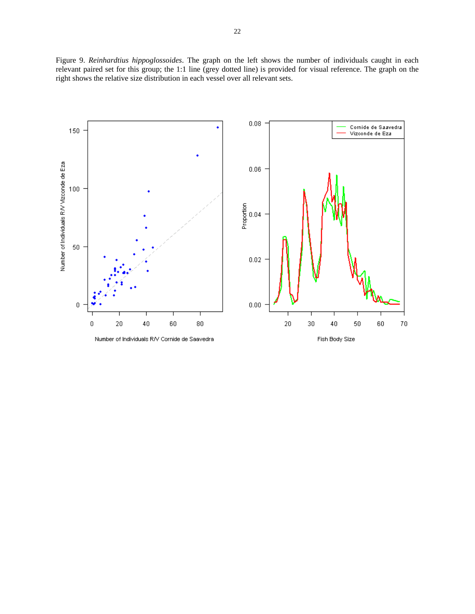Figure 9. *Reinhardtius hippoglossoides*. The graph on the left shows the number of individuals caught in each relevant paired set for this group; the 1:1 line (grey dotted line) is provided for visual reference. The graph on the right shows the relative size distribution in each vessel over all relevant sets.

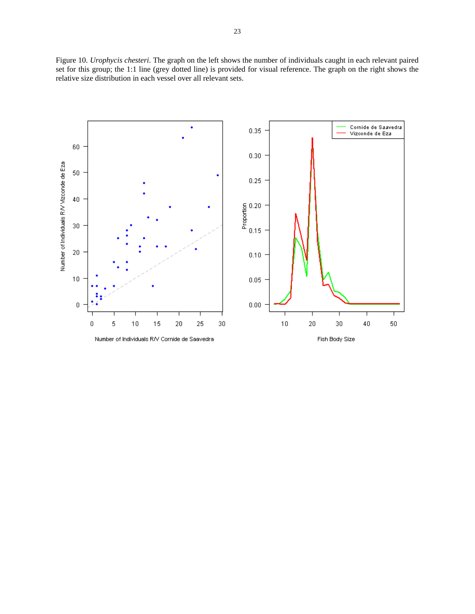Figure 10. *Urophycis chesteri*. The graph on the left shows the number of individuals caught in each relevant paired set for this group; the 1:1 line (grey dotted line) is provided for visual reference. The graph on the right shows the relative size distribution in each vessel over all relevant sets.

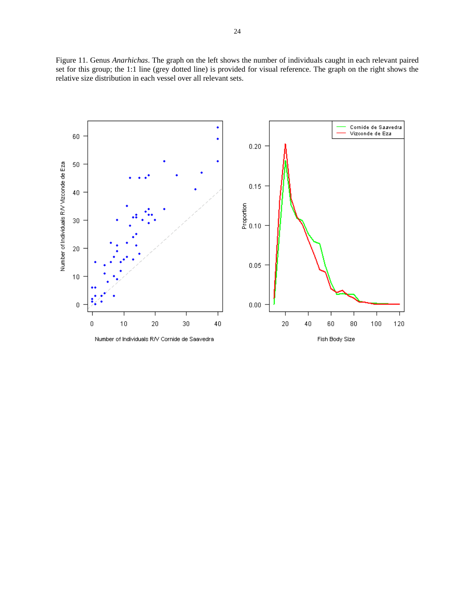Figure 11. Genus *Anarhichas*. The graph on the left shows the number of individuals caught in each relevant paired set for this group; the 1:1 line (grey dotted line) is provided for visual reference. The graph on the right shows the relative size distribution in each vessel over all relevant sets.

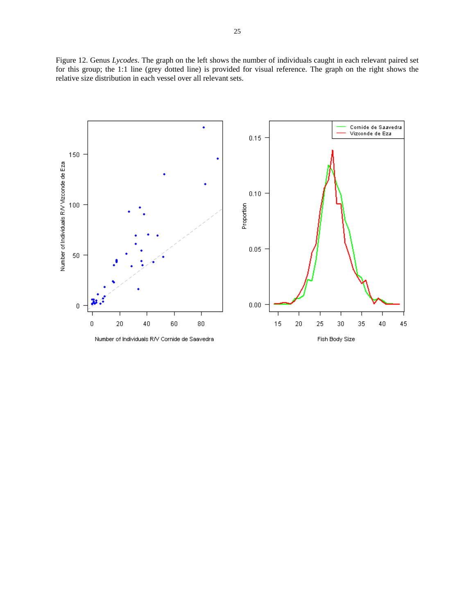Figure 12. Genus *Lycodes*. The graph on the left shows the number of individuals caught in each relevant paired set for this group; the 1:1 line (grey dotted line) is provided for visual reference. The graph on the right shows the relative size distribution in each vessel over all relevant sets.

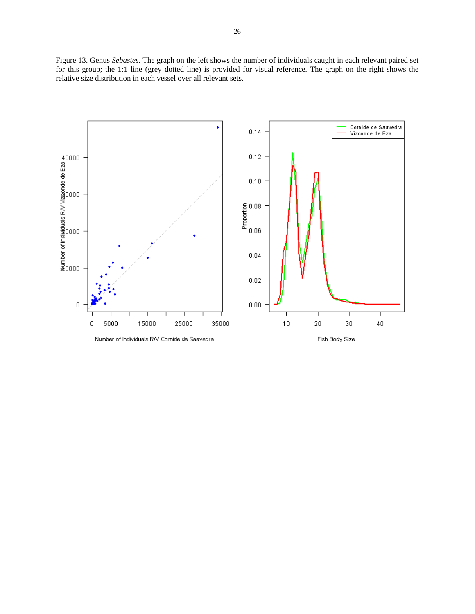Figure 13. Genus *Sebastes*. The graph on the left shows the number of individuals caught in each relevant paired set for this group; the 1:1 line (grey dotted line) is provided for visual reference. The graph on the right shows the relative size distribution in each vessel over all relevant sets.

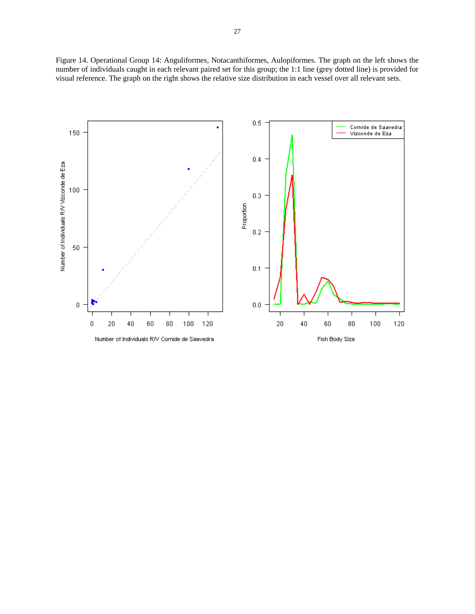Figure 14. Operational Group 14: Anguliformes, Notacanthiformes, Aulopiformes. The graph on the left shows the number of individuals caught in each relevant paired set for this group; the 1:1 line (grey dotted line) is provided for visual reference. The graph on the right shows the relative size distribution in each vessel over all relevant sets.

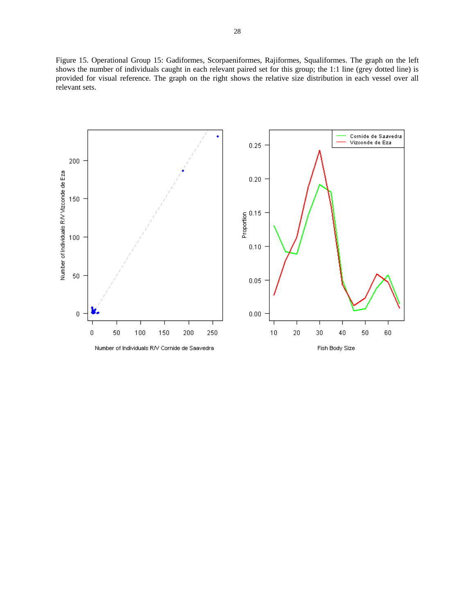Figure 15. Operational Group 15: Gadiformes, Scorpaeniformes, Rajiformes, Squaliformes. The graph on the left shows the number of individuals caught in each relevant paired set for this group; the 1:1 line (grey dotted line) is provided for visual reference. The graph on the right shows the relative size distribution in each vessel over all relevant sets.

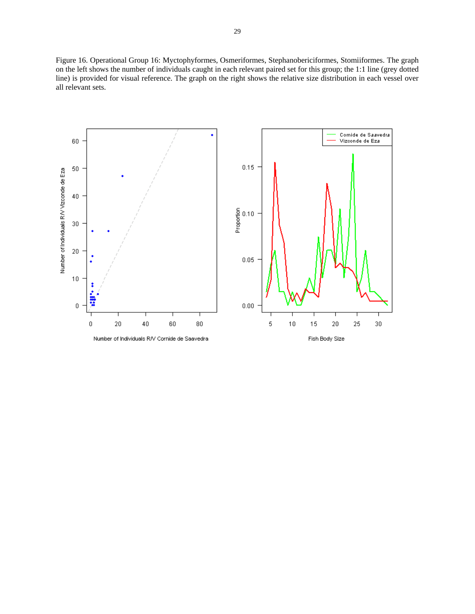Figure 16. Operational Group 16: Myctophyformes, Osmeriformes, Stephanobericiformes, Stomiiformes. The graph on the left shows the number of individuals caught in each relevant paired set for this group; the 1:1 line (grey dotted line) is provided for visual reference. The graph on the right shows the relative size distribution in each vessel over all relevant sets.

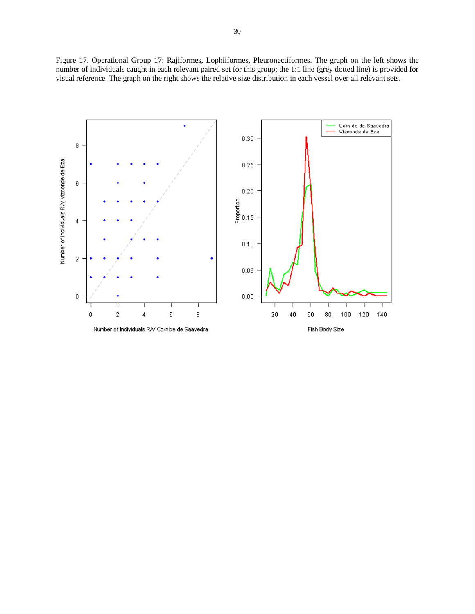Figure 17. Operational Group 17: Rajiformes, Lophiiformes, Pleuronectiformes. The graph on the left shows the number of individuals caught in each relevant paired set for this group; the 1:1 line (grey dotted line) is provided for visual reference. The graph on the right shows the relative size distribution in each vessel over all relevant sets.

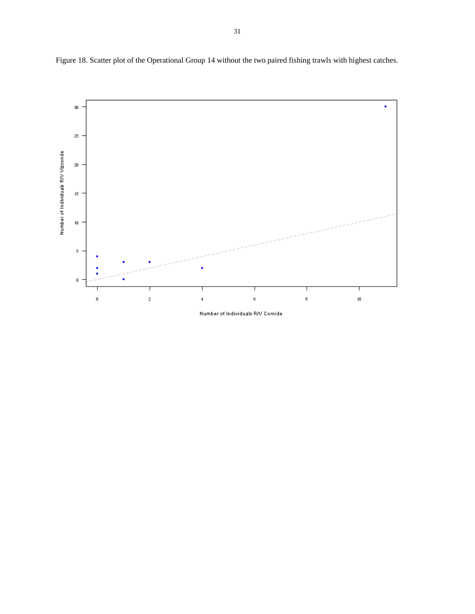



Number of Individuals R/V Cornide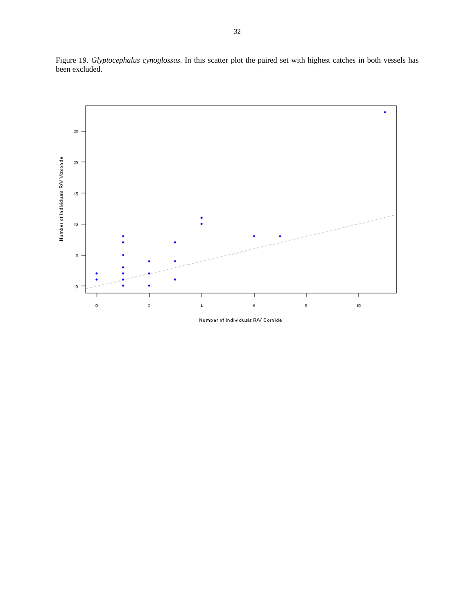

Figure 19. *Glyptocephalus cynoglossus*. In this scatter plot the paired set with highest catches in both vessels has been excluded.

Number of Individuals R/V Cornide